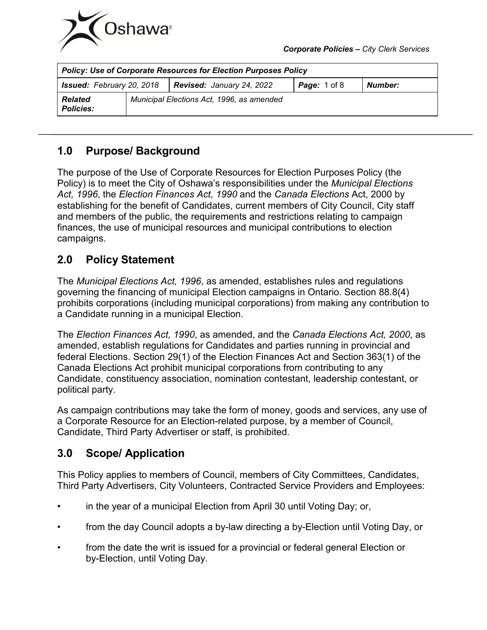

| <b>Policy: Use of Corporate Resources for Election Purposes Policy</b> |  |                                           |                     |         |
|------------------------------------------------------------------------|--|-------------------------------------------|---------------------|---------|
| <b>Issued:</b> February 20, 2018                                       |  | Revised: January 24, 2022                 | <b>Page:</b> 1 of 8 | Number: |
| <b>Related</b><br><b>Policies:</b>                                     |  | Municipal Elections Act, 1996, as amended |                     |         |

# **1.0 Purpose/ Background**

The purpose of the Use of Corporate Resources for Election Purposes Policy (the Policy) is to meet the City of Oshawa's responsibilities under the *Municipal Elections Act, 1996*, the *Election Finances Act, 1990* and the *Canada Elections* Act, 2000 by establishing for the benefit of Candidates, current members of City Council, City staff and members of the public, the requirements and restrictions relating to campaign finances, the use of municipal resources and municipal contributions to election campaigns.

# **2.0 Policy Statement**

The *Municipal Elections Act, 1996*, as amended, establishes rules and regulations governing the financing of municipal Election campaigns in Ontario. Section 88.8(4) prohibits corporations (including municipal corporations) from making any contribution to a Candidate running in a municipal Election.

The *Election Finances Act, 1990*, as amended, and the *Canada Elections Act, 2000*, as amended, establish regulations for Candidates and parties running in provincial and federal Elections. Section 29(1) of the Election Finances Act and Section 363(1) of the Canada Elections Act prohibit municipal corporations from contributing to any Candidate, constituency association, nomination contestant, leadership contestant, or political party.

As campaign contributions may take the form of money, goods and services, any use of a Corporate Resource for an Election-related purpose, by a member of Council, Candidate, Third Party Advertiser or staff, is prohibited.

# **3.0 Scope/ Application**

This Policy applies to members of Council, members of City Committees, Candidates, Third Party Advertisers, City Volunteers, Contracted Service Providers and Employees:

- in the year of a municipal Election from April 30 until Voting Day; or,
- from the day Council adopts a by-law directing a by-Election until Voting Day, or
- from the date the writ is issued for a provincial or federal general Election or by-Election, until Voting Day.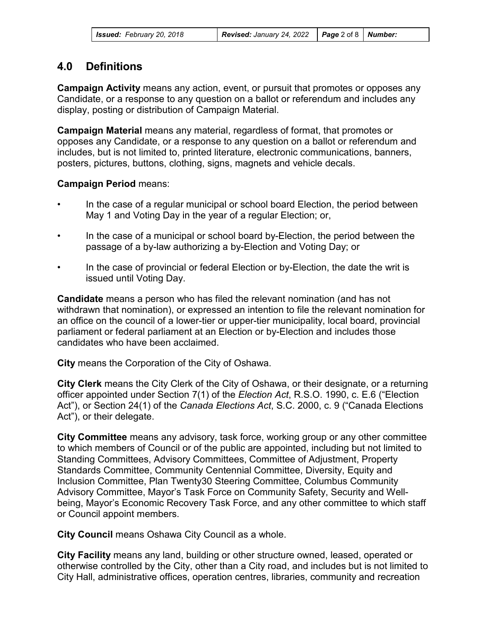| <b>Issued:</b> February 20, 2018 | <b>Revised:</b> January 24, 2022 <b>Page</b> 2 of 8   <b>Number:</b> |  |  |
|----------------------------------|----------------------------------------------------------------------|--|--|
|----------------------------------|----------------------------------------------------------------------|--|--|

## **4.0 Definitions**

**Campaign Activity** means any action, event, or pursuit that promotes or opposes any Candidate, or a response to any question on a ballot or referendum and includes any display, posting or distribution of Campaign Material.

**Campaign Material** means any material, regardless of format, that promotes or opposes any Candidate, or a response to any question on a ballot or referendum and includes, but is not limited to, printed literature, electronic communications, banners, posters, pictures, buttons, clothing, signs, magnets and vehicle decals.

#### **Campaign Period** means:

- In the case of a regular municipal or school board Election, the period between May 1 and Voting Day in the year of a regular Election; or,
- In the case of a municipal or school board by-Election, the period between the passage of a by-law authorizing a by-Election and Voting Day; or
- In the case of provincial or federal Election or by-Election, the date the writ is issued until Voting Day.

**Candidate** means a person who has filed the relevant nomination (and has not withdrawn that nomination), or expressed an intention to file the relevant nomination for an office on the council of a lower-tier or upper-tier municipality, local board, provincial parliament or federal parliament at an Election or by-Election and includes those candidates who have been acclaimed.

**City** means the Corporation of the City of Oshawa.

**City Clerk** means the City Clerk of the City of Oshawa, or their designate, or a returning officer appointed under Section 7(1) of the *Election Act*, R.S.O. 1990, c. E.6 ("Election Act"), or Section 24(1) of the *Canada Elections Act*, S.C. 2000, c. 9 ("Canada Elections Act"), or their delegate.

**City Committee** means any advisory, task force, working group or any other committee to which members of Council or of the public are appointed, including but not limited to Standing Committees, Advisory Committees, Committee of Adjustment, Property Standards Committee, Community Centennial Committee, Diversity, Equity and Inclusion Committee, Plan Twenty30 Steering Committee, Columbus Community Advisory Committee, Mayor's Task Force on Community Safety, Security and Wellbeing, Mayor's Economic Recovery Task Force, and any other committee to which staff or Council appoint members.

**City Council** means Oshawa City Council as a whole.

**City Facility** means any land, building or other structure owned, leased, operated or otherwise controlled by the City, other than a City road, and includes but is not limited to City Hall, administrative offices, operation centres, libraries, community and recreation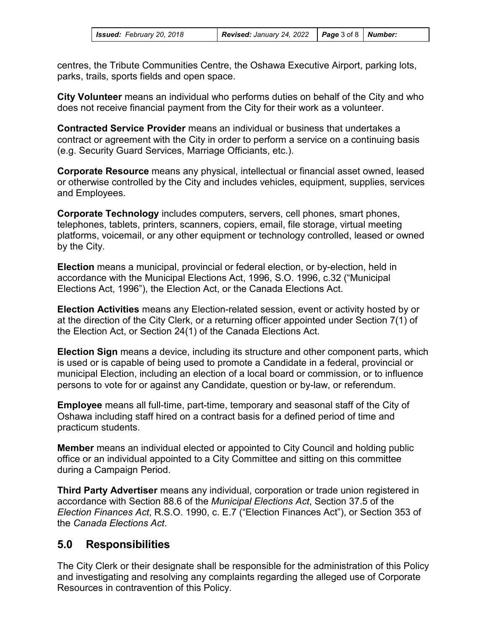| <b>Issued:</b> February 20, 2018 | <b>Revised:</b> January 24, 2022 $\vert$ <b>Page</b> 3 of 8 $\vert$ <b>Number:</b> |  |  |
|----------------------------------|------------------------------------------------------------------------------------|--|--|
|----------------------------------|------------------------------------------------------------------------------------|--|--|

centres, the Tribute Communities Centre, the Oshawa Executive Airport, parking lots, parks, trails, sports fields and open space.

**City Volunteer** means an individual who performs duties on behalf of the City and who does not receive financial payment from the City for their work as a volunteer.

**Contracted Service Provider** means an individual or business that undertakes a contract or agreement with the City in order to perform a service on a continuing basis (e.g. Security Guard Services, Marriage Officiants, etc.).

**Corporate Resource** means any physical, intellectual or financial asset owned, leased or otherwise controlled by the City and includes vehicles, equipment, supplies, services and Employees.

**Corporate Technology** includes computers, servers, cell phones, smart phones, telephones, tablets, printers, scanners, copiers, email, file storage, virtual meeting platforms, voicemail, or any other equipment or technology controlled, leased or owned by the City.

**Election** means a municipal, provincial or federal election, or by-election, held in accordance with the Municipal Elections Act, 1996, S.O. 1996, c.32 ("Municipal Elections Act, 1996"), the Election Act, or the Canada Elections Act.

**Election Activities** means any Election-related session, event or activity hosted by or at the direction of the City Clerk, or a returning officer appointed under Section 7(1) of the Election Act, or Section 24(1) of the Canada Elections Act.

**Election Sign** means a device, including its structure and other component parts, which is used or is capable of being used to promote a Candidate in a federal, provincial or municipal Election, including an election of a local board or commission, or to influence persons to vote for or against any Candidate, question or by-law, or referendum.

**Employee** means all full-time, part-time, temporary and seasonal staff of the City of Oshawa including staff hired on a contract basis for a defined period of time and practicum students.

**Member** means an individual elected or appointed to City Council and holding public office or an individual appointed to a City Committee and sitting on this committee during a Campaign Period.

**Third Party Advertiser** means any individual, corporation or trade union registered in accordance with Section 88.6 of the *Municipal Elections Act*, Section 37.5 of the *Election Finances Act*, R.S.O. 1990, c. E.7 ("Election Finances Act"), or Section 353 of the *Canada Elections Act*.

## **5.0 Responsibilities**

The City Clerk or their designate shall be responsible for the administration of this Policy and investigating and resolving any complaints regarding the alleged use of Corporate Resources in contravention of this Policy.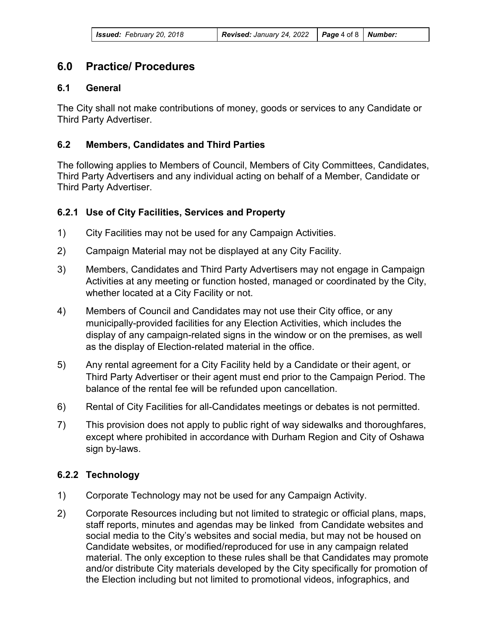## **6.0 Practice/ Procedures**

#### **6.1 General**

The City shall not make contributions of money, goods or services to any Candidate or Third Party Advertiser.

#### **6.2 Members, Candidates and Third Parties**

The following applies to Members of Council, Members of City Committees, Candidates, Third Party Advertisers and any individual acting on behalf of a Member, Candidate or Third Party Advertiser.

### **6.2.1 Use of City Facilities, Services and Property**

- 1) City Facilities may not be used for any Campaign Activities.
- 2) Campaign Material may not be displayed at any City Facility.
- 3) Members, Candidates and Third Party Advertisers may not engage in Campaign Activities at any meeting or function hosted, managed or coordinated by the City, whether located at a City Facility or not.
- 4) Members of Council and Candidates may not use their City office, or any municipally-provided facilities for any Election Activities, which includes the display of any campaign-related signs in the window or on the premises, as well as the display of Election-related material in the office.
- 5) Any rental agreement for a City Facility held by a Candidate or their agent, or Third Party Advertiser or their agent must end prior to the Campaign Period. The balance of the rental fee will be refunded upon cancellation.
- 6) Rental of City Facilities for all-Candidates meetings or debates is not permitted.
- 7) This provision does not apply to public right of way sidewalks and thoroughfares, except where prohibited in accordance with Durham Region and City of Oshawa sign by-laws.

#### **6.2.2 Technology**

- 1) Corporate Technology may not be used for any Campaign Activity.
- 2) Corporate Resources including but not limited to strategic or official plans, maps, staff reports, minutes and agendas may be linked from Candidate websites and social media to the City's websites and social media, but may not be housed on Candidate websites, or modified/reproduced for use in any campaign related material. The only exception to these rules shall be that Candidates may promote and/or distribute City materials developed by the City specifically for promotion of the Election including but not limited to promotional videos, infographics, and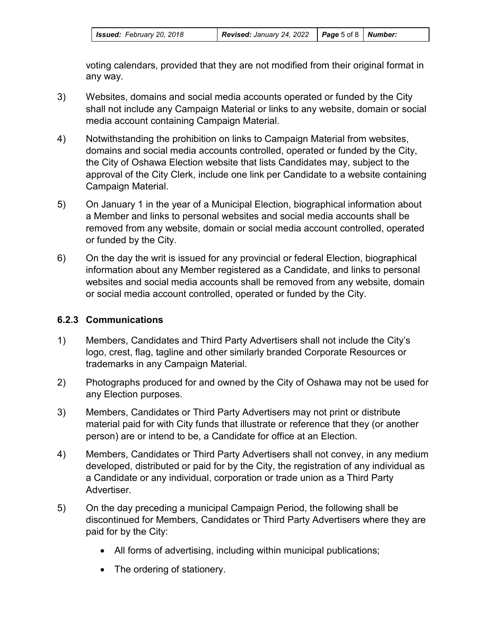| Issued: February 20, 2018 |  |
|---------------------------|--|
|---------------------------|--|

voting calendars, provided that they are not modified from their original format in any way.

- 3) Websites, domains and social media accounts operated or funded by the City shall not include any Campaign Material or links to any website, domain or social media account containing Campaign Material.
- 4) Notwithstanding the prohibition on links to Campaign Material from websites, domains and social media accounts controlled, operated or funded by the City, the City of Oshawa Election website that lists Candidates may, subject to the approval of the City Clerk, include one link per Candidate to a website containing Campaign Material.
- 5) On January 1 in the year of a Municipal Election, biographical information about a Member and links to personal websites and social media accounts shall be removed from any website, domain or social media account controlled, operated or funded by the City.
- 6) On the day the writ is issued for any provincial or federal Election, biographical information about any Member registered as a Candidate, and links to personal websites and social media accounts shall be removed from any website, domain or social media account controlled, operated or funded by the City.

## **6.2.3 Communications**

- 1) Members, Candidates and Third Party Advertisers shall not include the City's logo, crest, flag, tagline and other similarly branded Corporate Resources or trademarks in any Campaign Material.
- 2) Photographs produced for and owned by the City of Oshawa may not be used for any Election purposes.
- 3) Members, Candidates or Third Party Advertisers may not print or distribute material paid for with City funds that illustrate or reference that they (or another person) are or intend to be, a Candidate for office at an Election.
- 4) Members, Candidates or Third Party Advertisers shall not convey, in any medium developed, distributed or paid for by the City, the registration of any individual as a Candidate or any individual, corporation or trade union as a Third Party Advertiser.
- 5) On the day preceding a municipal Campaign Period, the following shall be discontinued for Members, Candidates or Third Party Advertisers where they are paid for by the City:
	- All forms of advertising, including within municipal publications;
	- The ordering of stationery.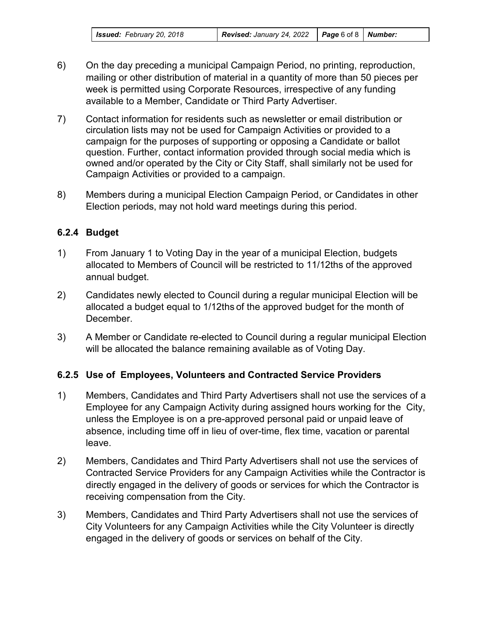- 6) On the day preceding a municipal Campaign Period, no printing, reproduction, mailing or other distribution of material in a quantity of more than 50 pieces per week is permitted using Corporate Resources, irrespective of any funding available to a Member, Candidate or Third Party Advertiser.
- 7) Contact information for residents such as newsletter or email distribution or circulation lists may not be used for Campaign Activities or provided to a campaign for the purposes of supporting or opposing a Candidate or ballot question. Further, contact information provided through social media which is owned and/or operated by the City or City Staff, shall similarly not be used for Campaign Activities or provided to a campaign.
- 8) Members during a municipal Election Campaign Period, or Candidates in other Election periods, may not hold ward meetings during this period.

## **6.2.4 Budget**

- 1) From January 1 to Voting Day in the year of a municipal Election, budgets allocated to Members of Council will be restricted to 11/12ths of the approved annual budget.
- 2) Candidates newly elected to Council during a regular municipal Election will be allocated a budget equal to 1/12ths of the approved budget for the month of December.
- 3) A Member or Candidate re-elected to Council during a regular municipal Election will be allocated the balance remaining available as of Voting Day.

## **6.2.5 Use of Employees, Volunteers and Contracted Service Providers**

- 1) Members, Candidates and Third Party Advertisers shall not use the services of a Employee for any Campaign Activity during assigned hours working for the City, unless the Employee is on a pre-approved personal paid or unpaid leave of absence, including time off in lieu of over-time, flex time, vacation or parental leave.
- 2) Members, Candidates and Third Party Advertisers shall not use the services of Contracted Service Providers for any Campaign Activities while the Contractor is directly engaged in the delivery of goods or services for which the Contractor is receiving compensation from the City.
- 3) Members, Candidates and Third Party Advertisers shall not use the services of City Volunteers for any Campaign Activities while the City Volunteer is directly engaged in the delivery of goods or services on behalf of the City.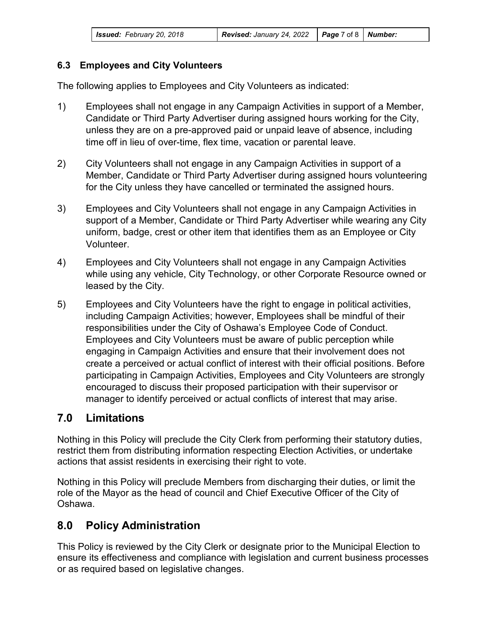| <b>Issued:</b> February 20, 2018 | <b>Revised:</b> January 24, 2022 $\vert$ <b>Page</b> 7 of 8 $\vert$ <b>Number:</b> |  |
|----------------------------------|------------------------------------------------------------------------------------|--|
|                                  |                                                                                    |  |

### **6.3 Employees and City Volunteers**

The following applies to Employees and City Volunteers as indicated:

- 1) Employees shall not engage in any Campaign Activities in support of a Member, Candidate or Third Party Advertiser during assigned hours working for the City, unless they are on a pre-approved paid or unpaid leave of absence, including time off in lieu of over-time, flex time, vacation or parental leave.
- 2) City Volunteers shall not engage in any Campaign Activities in support of a Member, Candidate or Third Party Advertiser during assigned hours volunteering for the City unless they have cancelled or terminated the assigned hours.
- 3) Employees and City Volunteers shall not engage in any Campaign Activities in support of a Member, Candidate or Third Party Advertiser while wearing any City uniform, badge, crest or other item that identifies them as an Employee or City Volunteer.
- 4) Employees and City Volunteers shall not engage in any Campaign Activities while using any vehicle, City Technology, or other Corporate Resource owned or leased by the City.
- 5) Employees and City Volunteers have the right to engage in political activities, including Campaign Activities; however, Employees shall be mindful of their responsibilities under the City of Oshawa's Employee Code of Conduct. Employees and City Volunteers must be aware of public perception while engaging in Campaign Activities and ensure that their involvement does not create a perceived or actual conflict of interest with their official positions. Before participating in Campaign Activities, Employees and City Volunteers are strongly encouraged to discuss their proposed participation with their supervisor or manager to identify perceived or actual conflicts of interest that may arise.

## **7.0 Limitations**

Nothing in this Policy will preclude the City Clerk from performing their statutory duties, restrict them from distributing information respecting Election Activities, or undertake actions that assist residents in exercising their right to vote.

Nothing in this Policy will preclude Members from discharging their duties, or limit the role of the Mayor as the head of council and Chief Executive Officer of the City of Oshawa.

# **8.0 Policy Administration**

This Policy is reviewed by the City Clerk or designate prior to the Municipal Election to ensure its effectiveness and compliance with legislation and current business processes or as required based on legislative changes.